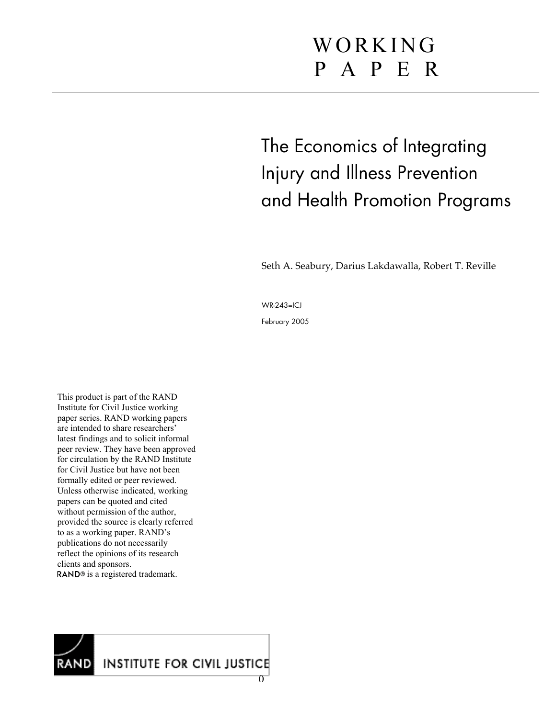# WORKING P A P E R

The Economics of Integrating Injury and Illness Prevention and Health Promotion Programs

Seth A. Seabury, Darius Lakdawalla, Robert T. Reville

WR-243=ICJ

February 2005

This product is part of the RAND Institute for Civil Justice working paper series. RAND working papers are intended to share researchers' latest findings and to solicit informal peer review. They have been approved for circulation by the RAND Institute for Civil Justice but have not been formally edited or peer reviewed. Unless otherwise indicated, working papers can be quoted and cited without permission of the author, provided the source is clearly referred to as a working paper. RAND's publications do not necessarily reflect the opinions of its research clients and sponsors. RAND<sup>®</sup> is a registered trademark.

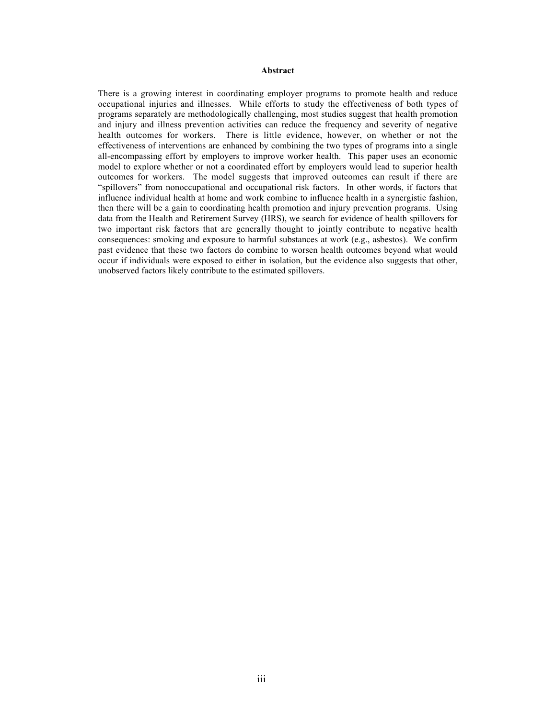#### **Abstract**

There is a growing interest in coordinating employer programs to promote health and reduce occupational injuries and illnesses. While efforts to study the effectiveness of both types of programs separately are methodologically challenging, most studies suggest that health promotion and injury and illness prevention activities can reduce the frequency and severity of negative health outcomes for workers. There is little evidence, however, on whether or not the effectiveness of interventions are enhanced by combining the two types of programs into a single all-encompassing effort by employers to improve worker health. This paper uses an economic model to explore whether or not a coordinated effort by employers would lead to superior health outcomes for workers. The model suggests that improved outcomes can result if there are "spillovers" from nonoccupational and occupational risk factors. In other words, if factors that influence individual health at home and work combine to influence health in a synergistic fashion, then there will be a gain to coordinating health promotion and injury prevention programs. Using data from the Health and Retirement Survey (HRS), we search for evidence of health spillovers for two important risk factors that are generally thought to jointly contribute to negative health consequences: smoking and exposure to harmful substances at work (e.g., asbestos). We confirm past evidence that these two factors do combine to worsen health outcomes beyond what would occur if individuals were exposed to either in isolation, but the evidence also suggests that other, unobserved factors likely contribute to the estimated spillovers.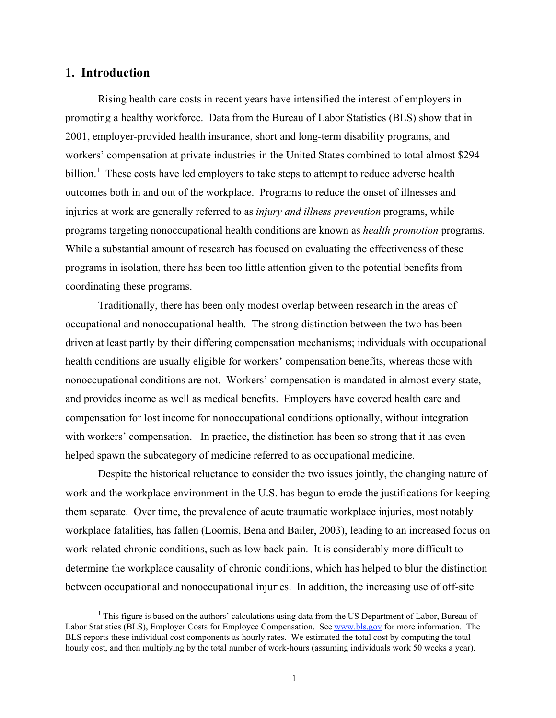## **1. Introduction**

Rising health care costs in recent years have intensified the interest of employers in promoting a healthy workforce. Data from the Bureau of Labor Statistics (BLS) show that in 2001, employer-provided health insurance, short and long-term disability programs, and workers' compensation at private industries in the United States combined to total almost \$294 billion.<sup>1</sup> These costs have led employers to take steps to attempt to reduce adverse health outcomes both in and out of the workplace. Programs to reduce the onset of illnesses and injuries at work are generally referred to as *injury and illness prevention* programs, while programs targeting nonoccupational health conditions are known as *health promotion* programs. While a substantial amount of research has focused on evaluating the effectiveness of these programs in isolation, there has been too little attention given to the potential benefits from coordinating these programs.

Traditionally, there has been only modest overlap between research in the areas of occupational and nonoccupational health. The strong distinction between the two has been driven at least partly by their differing compensation mechanisms; individuals with occupational health conditions are usually eligible for workers' compensation benefits, whereas those with nonoccupational conditions are not. Workers' compensation is mandated in almost every state, and provides income as well as medical benefits. Employers have covered health care and compensation for lost income for nonoccupational conditions optionally, without integration with workers' compensation. In practice, the distinction has been so strong that it has even helped spawn the subcategory of medicine referred to as occupational medicine.

Despite the historical reluctance to consider the two issues jointly, the changing nature of work and the workplace environment in the U.S. has begun to erode the justifications for keeping them separate. Over time, the prevalence of acute traumatic workplace injuries, most notably workplace fatalities, has fallen (Loomis, Bena and Bailer, 2003), leading to an increased focus on work-related chronic conditions, such as low back pain. It is considerably more difficult to determine the workplace causality of chronic conditions, which has helped to blur the distinction between occupational and nonoccupational injuries. In addition, the increasing use of off-site

<sup>&</sup>lt;u>1</u>  $<sup>1</sup>$  This figure is based on the authors' calculations using data from the US Department of Labor, Bureau of</sup> Labor Statistics (BLS), Employer Costs for Employee Compensation. See www.bls.gov for more information. The BLS reports these individual cost components as hourly rates. We estimated the total cost by computing the total hourly cost, and then multiplying by the total number of work-hours (assuming individuals work 50 weeks a year).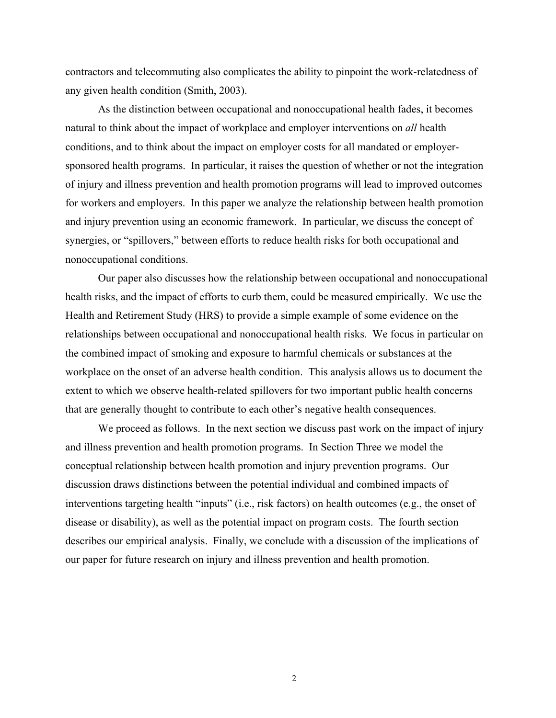contractors and telecommuting also complicates the ability to pinpoint the work-relatedness of any given health condition (Smith, 2003).

As the distinction between occupational and nonoccupational health fades, it becomes natural to think about the impact of workplace and employer interventions on *all* health conditions, and to think about the impact on employer costs for all mandated or employersponsored health programs. In particular, it raises the question of whether or not the integration of injury and illness prevention and health promotion programs will lead to improved outcomes for workers and employers. In this paper we analyze the relationship between health promotion and injury prevention using an economic framework. In particular, we discuss the concept of synergies, or "spillovers," between efforts to reduce health risks for both occupational and nonoccupational conditions.

Our paper also discusses how the relationship between occupational and nonoccupational health risks, and the impact of efforts to curb them, could be measured empirically. We use the Health and Retirement Study (HRS) to provide a simple example of some evidence on the relationships between occupational and nonoccupational health risks. We focus in particular on the combined impact of smoking and exposure to harmful chemicals or substances at the workplace on the onset of an adverse health condition. This analysis allows us to document the extent to which we observe health-related spillovers for two important public health concerns that are generally thought to contribute to each other's negative health consequences.

We proceed as follows. In the next section we discuss past work on the impact of injury and illness prevention and health promotion programs. In Section Three we model the conceptual relationship between health promotion and injury prevention programs. Our discussion draws distinctions between the potential individual and combined impacts of interventions targeting health "inputs" (i.e., risk factors) on health outcomes (e.g., the onset of disease or disability), as well as the potential impact on program costs. The fourth section describes our empirical analysis. Finally, we conclude with a discussion of the implications of our paper for future research on injury and illness prevention and health promotion.

2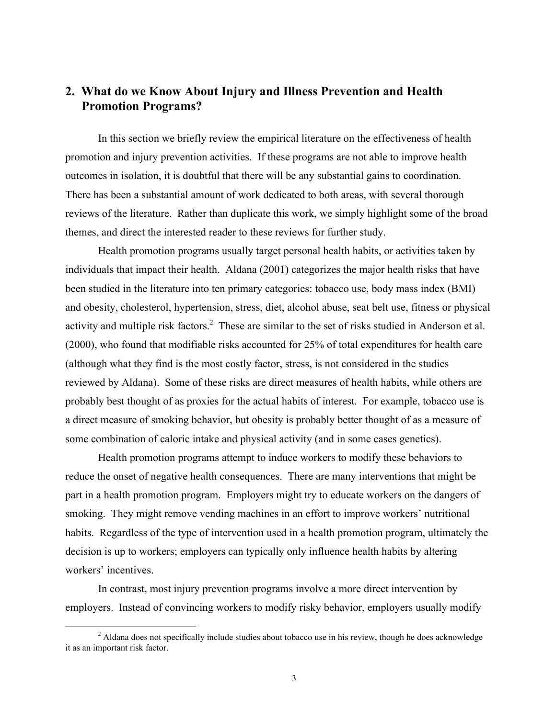# **2. What do we Know About Injury and Illness Prevention and Health Promotion Programs?**

In this section we briefly review the empirical literature on the effectiveness of health promotion and injury prevention activities. If these programs are not able to improve health outcomes in isolation, it is doubtful that there will be any substantial gains to coordination. There has been a substantial amount of work dedicated to both areas, with several thorough reviews of the literature. Rather than duplicate this work, we simply highlight some of the broad themes, and direct the interested reader to these reviews for further study.

Health promotion programs usually target personal health habits, or activities taken by individuals that impact their health. Aldana (2001) categorizes the major health risks that have been studied in the literature into ten primary categories: tobacco use, body mass index (BMI) and obesity, cholesterol, hypertension, stress, diet, alcohol abuse, seat belt use, fitness or physical activity and multiple risk factors.<sup>2</sup> These are similar to the set of risks studied in Anderson et al. (2000), who found that modifiable risks accounted for 25% of total expenditures for health care (although what they find is the most costly factor, stress, is not considered in the studies reviewed by Aldana). Some of these risks are direct measures of health habits, while others are probably best thought of as proxies for the actual habits of interest. For example, tobacco use is a direct measure of smoking behavior, but obesity is probably better thought of as a measure of some combination of caloric intake and physical activity (and in some cases genetics).

Health promotion programs attempt to induce workers to modify these behaviors to reduce the onset of negative health consequences. There are many interventions that might be part in a health promotion program. Employers might try to educate workers on the dangers of smoking. They might remove vending machines in an effort to improve workers' nutritional habits. Regardless of the type of intervention used in a health promotion program, ultimately the decision is up to workers; employers can typically only influence health habits by altering workers' incentives.

In contrast, most injury prevention programs involve a more direct intervention by employers. Instead of convincing workers to modify risky behavior, employers usually modify

 $\frac{1}{2}$ <sup>2</sup> Aldana does not specifically include studies about tobacco use in his review, though he does acknowledge it as an important risk factor.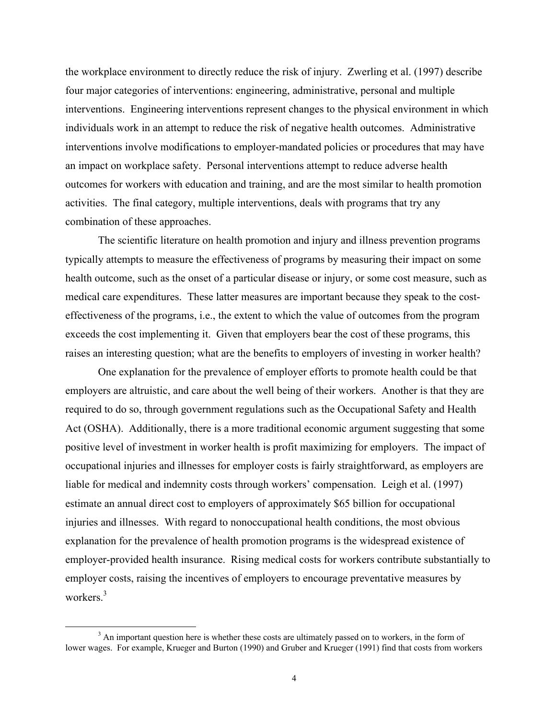the workplace environment to directly reduce the risk of injury. Zwerling et al. (1997) describe four major categories of interventions: engineering, administrative, personal and multiple interventions. Engineering interventions represent changes to the physical environment in which individuals work in an attempt to reduce the risk of negative health outcomes. Administrative interventions involve modifications to employer-mandated policies or procedures that may have an impact on workplace safety. Personal interventions attempt to reduce adverse health outcomes for workers with education and training, and are the most similar to health promotion activities. The final category, multiple interventions, deals with programs that try any combination of these approaches.

The scientific literature on health promotion and injury and illness prevention programs typically attempts to measure the effectiveness of programs by measuring their impact on some health outcome, such as the onset of a particular disease or injury, or some cost measure, such as medical care expenditures. These latter measures are important because they speak to the costeffectiveness of the programs, i.e., the extent to which the value of outcomes from the program exceeds the cost implementing it. Given that employers bear the cost of these programs, this raises an interesting question; what are the benefits to employers of investing in worker health?

One explanation for the prevalence of employer efforts to promote health could be that employers are altruistic, and care about the well being of their workers. Another is that they are required to do so, through government regulations such as the Occupational Safety and Health Act (OSHA). Additionally, there is a more traditional economic argument suggesting that some positive level of investment in worker health is profit maximizing for employers. The impact of occupational injuries and illnesses for employer costs is fairly straightforward, as employers are liable for medical and indemnity costs through workers' compensation. Leigh et al. (1997) estimate an annual direct cost to employers of approximately \$65 billion for occupational injuries and illnesses. With regard to nonoccupational health conditions, the most obvious explanation for the prevalence of health promotion programs is the widespread existence of employer-provided health insurance. Rising medical costs for workers contribute substantially to employer costs, raising the incentives of employers to encourage preventative measures by workers.<sup>3</sup>

 <sup>3</sup>  $3$  An important question here is whether these costs are ultimately passed on to workers, in the form of lower wages. For example, Krueger and Burton (1990) and Gruber and Krueger (1991) find that costs from workers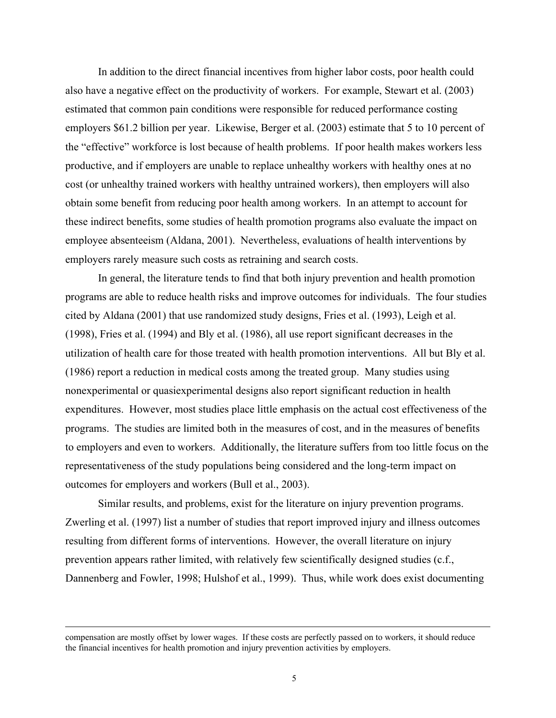In addition to the direct financial incentives from higher labor costs, poor health could also have a negative effect on the productivity of workers. For example, Stewart et al. (2003) estimated that common pain conditions were responsible for reduced performance costing employers \$61.2 billion per year. Likewise, Berger et al. (2003) estimate that 5 to 10 percent of the "effective" workforce is lost because of health problems. If poor health makes workers less productive, and if employers are unable to replace unhealthy workers with healthy ones at no cost (or unhealthy trained workers with healthy untrained workers), then employers will also obtain some benefit from reducing poor health among workers. In an attempt to account for these indirect benefits, some studies of health promotion programs also evaluate the impact on employee absenteeism (Aldana, 2001). Nevertheless, evaluations of health interventions by employers rarely measure such costs as retraining and search costs.

In general, the literature tends to find that both injury prevention and health promotion programs are able to reduce health risks and improve outcomes for individuals. The four studies cited by Aldana (2001) that use randomized study designs, Fries et al. (1993), Leigh et al. (1998), Fries et al. (1994) and Bly et al. (1986), all use report significant decreases in the utilization of health care for those treated with health promotion interventions. All but Bly et al. (1986) report a reduction in medical costs among the treated group. Many studies using nonexperimental or quasiexperimental designs also report significant reduction in health expenditures. However, most studies place little emphasis on the actual cost effectiveness of the programs. The studies are limited both in the measures of cost, and in the measures of benefits to employers and even to workers. Additionally, the literature suffers from too little focus on the representativeness of the study populations being considered and the long-term impact on outcomes for employers and workers (Bull et al., 2003).

Similar results, and problems, exist for the literature on injury prevention programs. Zwerling et al. (1997) list a number of studies that report improved injury and illness outcomes resulting from different forms of interventions. However, the overall literature on injury prevention appears rather limited, with relatively few scientifically designed studies (c.f., Dannenberg and Fowler, 1998; Hulshof et al., 1999). Thus, while work does exist documenting

compensation are mostly offset by lower wages. If these costs are perfectly passed on to workers, it should reduce the financial incentives for health promotion and injury prevention activities by employers.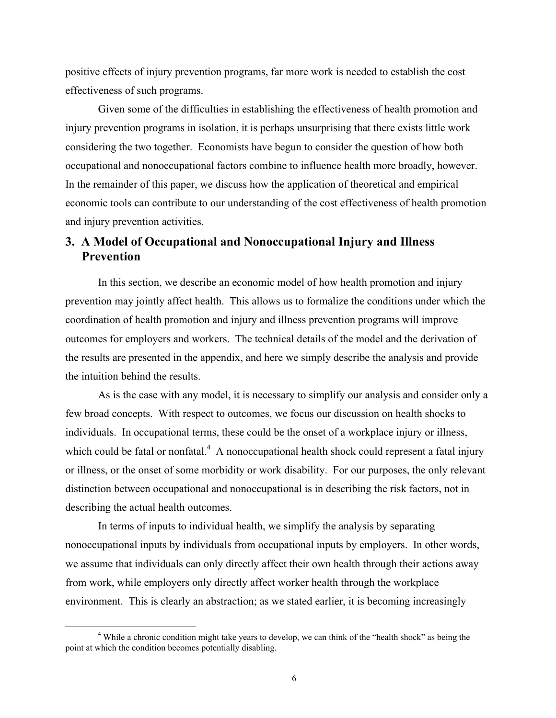positive effects of injury prevention programs, far more work is needed to establish the cost effectiveness of such programs.

Given some of the difficulties in establishing the effectiveness of health promotion and injury prevention programs in isolation, it is perhaps unsurprising that there exists little work considering the two together. Economists have begun to consider the question of how both occupational and nonoccupational factors combine to influence health more broadly, however. In the remainder of this paper, we discuss how the application of theoretical and empirical economic tools can contribute to our understanding of the cost effectiveness of health promotion and injury prevention activities.

# **3. A Model of Occupational and Nonoccupational Injury and Illness Prevention**

In this section, we describe an economic model of how health promotion and injury prevention may jointly affect health. This allows us to formalize the conditions under which the coordination of health promotion and injury and illness prevention programs will improve outcomes for employers and workers. The technical details of the model and the derivation of the results are presented in the appendix, and here we simply describe the analysis and provide the intuition behind the results.

As is the case with any model, it is necessary to simplify our analysis and consider only a few broad concepts. With respect to outcomes, we focus our discussion on health shocks to individuals. In occupational terms, these could be the onset of a workplace injury or illness, which could be fatal or nonfatal. $4\,$  A nonoccupational health shock could represent a fatal injury or illness, or the onset of some morbidity or work disability. For our purposes, the only relevant distinction between occupational and nonoccupational is in describing the risk factors, not in describing the actual health outcomes.

In terms of inputs to individual health, we simplify the analysis by separating nonoccupational inputs by individuals from occupational inputs by employers. In other words, we assume that individuals can only directly affect their own health through their actions away from work, while employers only directly affect worker health through the workplace environment. This is clearly an abstraction; as we stated earlier, it is becoming increasingly

 $\frac{1}{4}$  While a chronic condition might take years to develop, we can think of the "health shock" as being the point at which the condition becomes potentially disabling.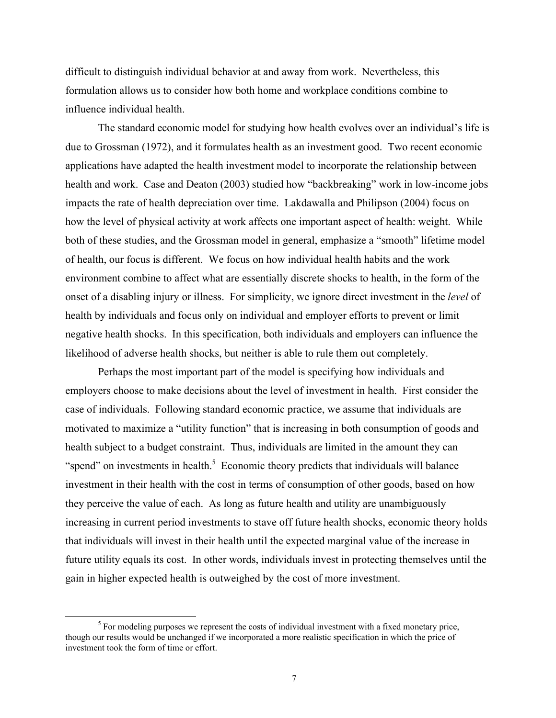difficult to distinguish individual behavior at and away from work. Nevertheless, this formulation allows us to consider how both home and workplace conditions combine to influence individual health.

The standard economic model for studying how health evolves over an individual's life is due to Grossman (1972), and it formulates health as an investment good. Two recent economic applications have adapted the health investment model to incorporate the relationship between health and work. Case and Deaton (2003) studied how "backbreaking" work in low-income jobs impacts the rate of health depreciation over time. Lakdawalla and Philipson (2004) focus on how the level of physical activity at work affects one important aspect of health: weight. While both of these studies, and the Grossman model in general, emphasize a "smooth" lifetime model of health, our focus is different. We focus on how individual health habits and the work environment combine to affect what are essentially discrete shocks to health, in the form of the onset of a disabling injury or illness. For simplicity, we ignore direct investment in the *level* of health by individuals and focus only on individual and employer efforts to prevent or limit negative health shocks. In this specification, both individuals and employers can influence the likelihood of adverse health shocks, but neither is able to rule them out completely.

Perhaps the most important part of the model is specifying how individuals and employers choose to make decisions about the level of investment in health. First consider the case of individuals. Following standard economic practice, we assume that individuals are motivated to maximize a "utility function" that is increasing in both consumption of goods and health subject to a budget constraint. Thus, individuals are limited in the amount they can "spend" on investments in health. $5$  Economic theory predicts that individuals will balance investment in their health with the cost in terms of consumption of other goods, based on how they perceive the value of each. As long as future health and utility are unambiguously increasing in current period investments to stave off future health shocks, economic theory holds that individuals will invest in their health until the expected marginal value of the increase in future utility equals its cost. In other words, individuals invest in protecting themselves until the gain in higher expected health is outweighed by the cost of more investment.

 $rac{1}{5}$  $<sup>5</sup>$  For modeling purposes we represent the costs of individual investment with a fixed monetary price,</sup> though our results would be unchanged if we incorporated a more realistic specification in which the price of investment took the form of time or effort.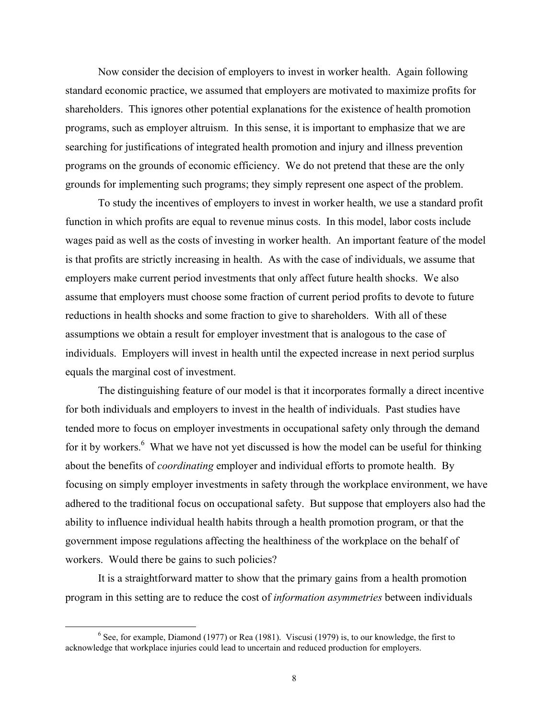Now consider the decision of employers to invest in worker health. Again following standard economic practice, we assumed that employers are motivated to maximize profits for shareholders. This ignores other potential explanations for the existence of health promotion programs, such as employer altruism. In this sense, it is important to emphasize that we are searching for justifications of integrated health promotion and injury and illness prevention programs on the grounds of economic efficiency. We do not pretend that these are the only grounds for implementing such programs; they simply represent one aspect of the problem.

To study the incentives of employers to invest in worker health, we use a standard profit function in which profits are equal to revenue minus costs. In this model, labor costs include wages paid as well as the costs of investing in worker health. An important feature of the model is that profits are strictly increasing in health. As with the case of individuals, we assume that employers make current period investments that only affect future health shocks. We also assume that employers must choose some fraction of current period profits to devote to future reductions in health shocks and some fraction to give to shareholders. With all of these assumptions we obtain a result for employer investment that is analogous to the case of individuals. Employers will invest in health until the expected increase in next period surplus equals the marginal cost of investment.

The distinguishing feature of our model is that it incorporates formally a direct incentive for both individuals and employers to invest in the health of individuals. Past studies have tended more to focus on employer investments in occupational safety only through the demand for it by workers.<sup>6</sup> What we have not yet discussed is how the model can be useful for thinking about the benefits of *coordinating* employer and individual efforts to promote health. By focusing on simply employer investments in safety through the workplace environment, we have adhered to the traditional focus on occupational safety. But suppose that employers also had the ability to influence individual health habits through a health promotion program, or that the government impose regulations affecting the healthiness of the workplace on the behalf of workers. Would there be gains to such policies?

It is a straightforward matter to show that the primary gains from a health promotion program in this setting are to reduce the cost of *information asymmetries* between individuals

 <sup>6</sup>  $<sup>6</sup>$  See, for example, Diamond (1977) or Rea (1981). Viscusi (1979) is, to our knowledge, the first to</sup> acknowledge that workplace injuries could lead to uncertain and reduced production for employers.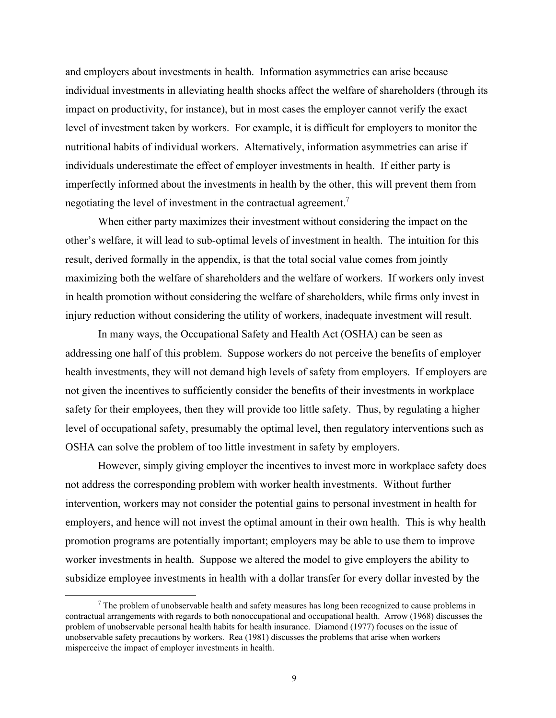and employers about investments in health. Information asymmetries can arise because individual investments in alleviating health shocks affect the welfare of shareholders (through its impact on productivity, for instance), but in most cases the employer cannot verify the exact level of investment taken by workers. For example, it is difficult for employers to monitor the nutritional habits of individual workers. Alternatively, information asymmetries can arise if individuals underestimate the effect of employer investments in health. If either party is imperfectly informed about the investments in health by the other, this will prevent them from negotiating the level of investment in the contractual agreement.<sup>7</sup>

When either party maximizes their investment without considering the impact on the other's welfare, it will lead to sub-optimal levels of investment in health. The intuition for this result, derived formally in the appendix, is that the total social value comes from jointly maximizing both the welfare of shareholders and the welfare of workers. If workers only invest in health promotion without considering the welfare of shareholders, while firms only invest in injury reduction without considering the utility of workers, inadequate investment will result.

In many ways, the Occupational Safety and Health Act (OSHA) can be seen as addressing one half of this problem. Suppose workers do not perceive the benefits of employer health investments, they will not demand high levels of safety from employers. If employers are not given the incentives to sufficiently consider the benefits of their investments in workplace safety for their employees, then they will provide too little safety. Thus, by regulating a higher level of occupational safety, presumably the optimal level, then regulatory interventions such as OSHA can solve the problem of too little investment in safety by employers.

However, simply giving employer the incentives to invest more in workplace safety does not address the corresponding problem with worker health investments. Without further intervention, workers may not consider the potential gains to personal investment in health for employers, and hence will not invest the optimal amount in their own health. This is why health promotion programs are potentially important; employers may be able to use them to improve worker investments in health. Suppose we altered the model to give employers the ability to subsidize employee investments in health with a dollar transfer for every dollar invested by the

 <sup>7</sup>  $\frac{7}{1}$  The problem of unobservable health and safety measures has long been recognized to cause problems in contractual arrangements with regards to both nonoccupational and occupational health. Arrow (1968) discusses the problem of unobservable personal health habits for health insurance. Diamond (1977) focuses on the issue of unobservable safety precautions by workers. Rea (1981) discusses the problems that arise when workers misperceive the impact of employer investments in health.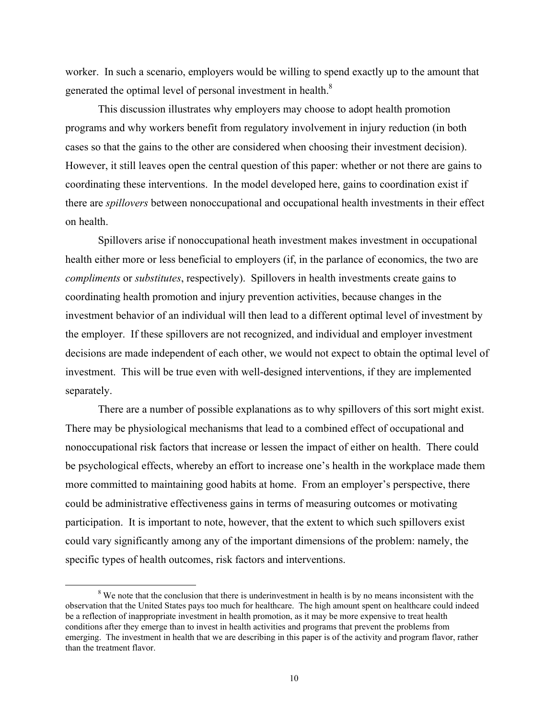worker. In such a scenario, employers would be willing to spend exactly up to the amount that generated the optimal level of personal investment in health.<sup>8</sup>

This discussion illustrates why employers may choose to adopt health promotion programs and why workers benefit from regulatory involvement in injury reduction (in both cases so that the gains to the other are considered when choosing their investment decision). However, it still leaves open the central question of this paper: whether or not there are gains to coordinating these interventions. In the model developed here, gains to coordination exist if there are *spillovers* between nonoccupational and occupational health investments in their effect on health.

Spillovers arise if nonoccupational heath investment makes investment in occupational health either more or less beneficial to employers (if, in the parlance of economics, the two are *compliments* or *substitutes*, respectively). Spillovers in health investments create gains to coordinating health promotion and injury prevention activities, because changes in the investment behavior of an individual will then lead to a different optimal level of investment by the employer. If these spillovers are not recognized, and individual and employer investment decisions are made independent of each other, we would not expect to obtain the optimal level of investment. This will be true even with well-designed interventions, if they are implemented separately.

There are a number of possible explanations as to why spillovers of this sort might exist. There may be physiological mechanisms that lead to a combined effect of occupational and nonoccupational risk factors that increase or lessen the impact of either on health. There could be psychological effects, whereby an effort to increase one's health in the workplace made them more committed to maintaining good habits at home. From an employer's perspective, there could be administrative effectiveness gains in terms of measuring outcomes or motivating participation. It is important to note, however, that the extent to which such spillovers exist could vary significantly among any of the important dimensions of the problem: namely, the specific types of health outcomes, risk factors and interventions.

 $\frac{1}{8}$  $8$  We note that the conclusion that there is underinvestment in health is by no means inconsistent with the observation that the United States pays too much for healthcare. The high amount spent on healthcare could indeed be a reflection of inappropriate investment in health promotion, as it may be more expensive to treat health conditions after they emerge than to invest in health activities and programs that prevent the problems from emerging. The investment in health that we are describing in this paper is of the activity and program flavor, rather than the treatment flavor.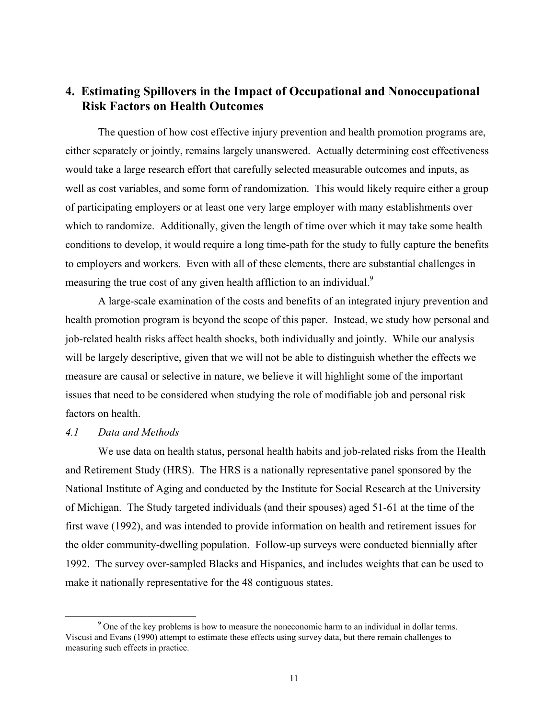## **4. Estimating Spillovers in the Impact of Occupational and Nonoccupational Risk Factors on Health Outcomes**

The question of how cost effective injury prevention and health promotion programs are, either separately or jointly, remains largely unanswered. Actually determining cost effectiveness would take a large research effort that carefully selected measurable outcomes and inputs, as well as cost variables, and some form of randomization. This would likely require either a group of participating employers or at least one very large employer with many establishments over which to randomize. Additionally, given the length of time over which it may take some health conditions to develop, it would require a long time-path for the study to fully capture the benefits to employers and workers. Even with all of these elements, there are substantial challenges in measuring the true cost of any given health affliction to an individual.<sup>9</sup>

A large-scale examination of the costs and benefits of an integrated injury prevention and health promotion program is beyond the scope of this paper. Instead, we study how personal and job-related health risks affect health shocks, both individually and jointly. While our analysis will be largely descriptive, given that we will not be able to distinguish whether the effects we measure are causal or selective in nature, we believe it will highlight some of the important issues that need to be considered when studying the role of modifiable job and personal risk factors on health.

#### *4.1 Data and Methods*

We use data on health status, personal health habits and job-related risks from the Health and Retirement Study (HRS). The HRS is a nationally representative panel sponsored by the National Institute of Aging and conducted by the Institute for Social Research at the University of Michigan. The Study targeted individuals (and their spouses) aged 51-61 at the time of the first wave (1992), and was intended to provide information on health and retirement issues for the older community-dwelling population. Follow-up surveys were conducted biennially after 1992. The survey over-sampled Blacks and Hispanics, and includes weights that can be used to make it nationally representative for the 48 contiguous states.

 $\frac{1}{9}$  $\degree$  One of the key problems is how to measure the noneconomic harm to an individual in dollar terms. Viscusi and Evans (1990) attempt to estimate these effects using survey data, but there remain challenges to measuring such effects in practice.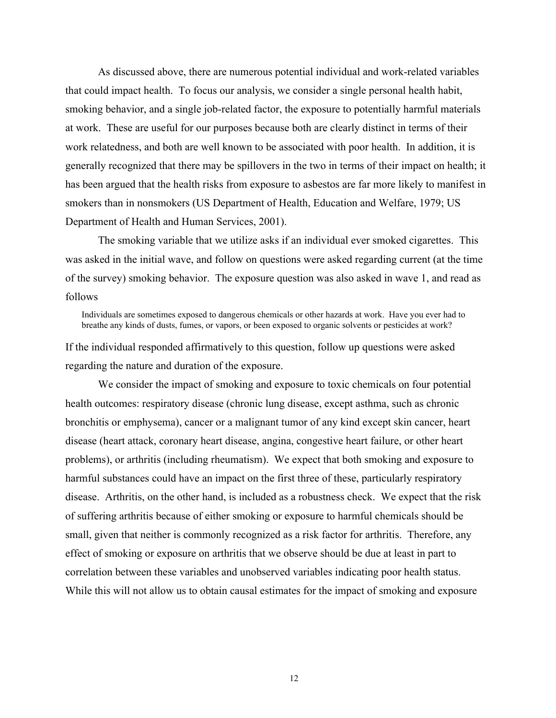As discussed above, there are numerous potential individual and work-related variables that could impact health. To focus our analysis, we consider a single personal health habit, smoking behavior, and a single job-related factor, the exposure to potentially harmful materials at work. These are useful for our purposes because both are clearly distinct in terms of their work relatedness, and both are well known to be associated with poor health. In addition, it is generally recognized that there may be spillovers in the two in terms of their impact on health; it has been argued that the health risks from exposure to asbestos are far more likely to manifest in smokers than in nonsmokers (US Department of Health, Education and Welfare, 1979; US Department of Health and Human Services, 2001).

The smoking variable that we utilize asks if an individual ever smoked cigarettes. This was asked in the initial wave, and follow on questions were asked regarding current (at the time of the survey) smoking behavior. The exposure question was also asked in wave 1, and read as follows

Individuals are sometimes exposed to dangerous chemicals or other hazards at work. Have you ever had to breathe any kinds of dusts, fumes, or vapors, or been exposed to organic solvents or pesticides at work?

If the individual responded affirmatively to this question, follow up questions were asked regarding the nature and duration of the exposure.

We consider the impact of smoking and exposure to toxic chemicals on four potential health outcomes: respiratory disease (chronic lung disease, except asthma, such as chronic bronchitis or emphysema), cancer or a malignant tumor of any kind except skin cancer, heart disease (heart attack, coronary heart disease, angina, congestive heart failure, or other heart problems), or arthritis (including rheumatism). We expect that both smoking and exposure to harmful substances could have an impact on the first three of these, particularly respiratory disease. Arthritis, on the other hand, is included as a robustness check. We expect that the risk of suffering arthritis because of either smoking or exposure to harmful chemicals should be small, given that neither is commonly recognized as a risk factor for arthritis. Therefore, any effect of smoking or exposure on arthritis that we observe should be due at least in part to correlation between these variables and unobserved variables indicating poor health status. While this will not allow us to obtain causal estimates for the impact of smoking and exposure

12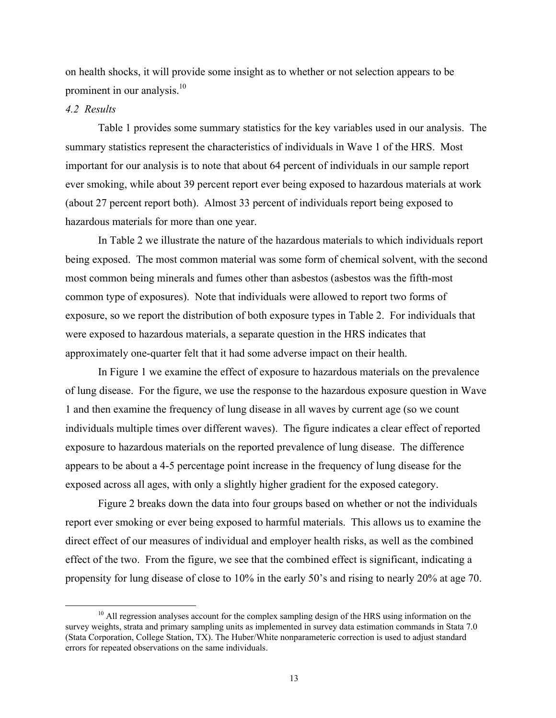on health shocks, it will provide some insight as to whether or not selection appears to be prominent in our analysis.<sup>10</sup>

#### *4.2 Results*

Table 1 provides some summary statistics for the key variables used in our analysis. The summary statistics represent the characteristics of individuals in Wave 1 of the HRS. Most important for our analysis is to note that about 64 percent of individuals in our sample report ever smoking, while about 39 percent report ever being exposed to hazardous materials at work (about 27 percent report both). Almost 33 percent of individuals report being exposed to hazardous materials for more than one year.

In Table 2 we illustrate the nature of the hazardous materials to which individuals report being exposed. The most common material was some form of chemical solvent, with the second most common being minerals and fumes other than asbestos (asbestos was the fifth-most common type of exposures). Note that individuals were allowed to report two forms of exposure, so we report the distribution of both exposure types in Table 2. For individuals that were exposed to hazardous materials, a separate question in the HRS indicates that approximately one-quarter felt that it had some adverse impact on their health.

In Figure 1 we examine the effect of exposure to hazardous materials on the prevalence of lung disease. For the figure, we use the response to the hazardous exposure question in Wave 1 and then examine the frequency of lung disease in all waves by current age (so we count individuals multiple times over different waves). The figure indicates a clear effect of reported exposure to hazardous materials on the reported prevalence of lung disease. The difference appears to be about a 4-5 percentage point increase in the frequency of lung disease for the exposed across all ages, with only a slightly higher gradient for the exposed category.

Figure 2 breaks down the data into four groups based on whether or not the individuals report ever smoking or ever being exposed to harmful materials. This allows us to examine the direct effect of our measures of individual and employer health risks, as well as the combined effect of the two. From the figure, we see that the combined effect is significant, indicating a propensity for lung disease of close to 10% in the early 50's and rising to nearly 20% at age 70.

<sup>10</sup>  $^{10}$  All regression analyses account for the complex sampling design of the HRS using information on the survey weights, strata and primary sampling units as implemented in survey data estimation commands in Stata 7.0 (Stata Corporation, College Station, TX). The Huber/White nonparameteric correction is used to adjust standard errors for repeated observations on the same individuals.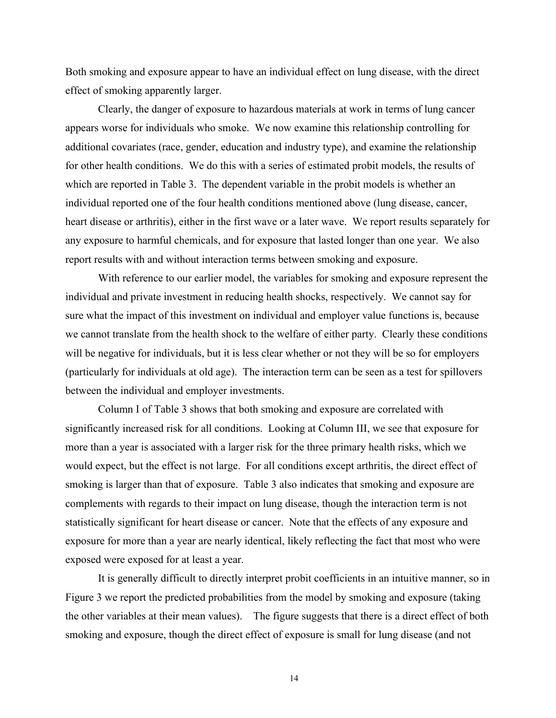Both smoking and exposure appear to have an individual effect on lung disease, with the direct effect of smoking apparently larger.

Clearly, the danger of exposure to hazardous materials at work in terms of lung cancer appears worse for individuals who smoke. We now examine this relationship controlling for additional covariates (race, gender, education and industry type), and examine the relationship for other health conditions. We do this with a series of estimated probit models, the results of which are reported in Table 3. The dependent variable in the probit models is whether an individual reported one of the four health conditions mentioned above (lung disease, cancer, heart disease or arthritis), either in the first wave or a later wave. We report results separately for any exposure to harmful chemicals, and for exposure that lasted longer than one year. We also report results with and without interaction terms between smoking and exposure.

With reference to our earlier model, the variables for smoking and exposure represent the individual and private investment in reducing health shocks, respectively. We cannot say for sure what the impact of this investment on individual and employer value functions is, because we cannot translate from the health shock to the welfare of either party. Clearly these conditions will be negative for individuals, but it is less clear whether or not they will be so for employers (particularly for individuals at old age). The interaction term can be seen as a test for spillovers between the individual and employer investments.

Column I of Table 3 shows that both smoking and exposure are correlated with significantly increased risk for all conditions. Looking at Column III, we see that exposure for more than a year is associated with a larger risk for the three primary health risks, which we would expect, but the effect is not large. For all conditions except arthritis, the direct effect of smoking is larger than that of exposure. Table 3 also indicates that smoking and exposure are complements with regards to their impact on lung disease, though the interaction term is not statistically significant for heart disease or cancer. Note that the effects of any exposure and exposure for more than a year are nearly identical, likely reflecting the fact that most who were exposed were exposed for at least a year.

It is generally difficult to directly interpret probit coefficients in an intuitive manner, so in Figure 3 we report the predicted probabilities from the model by smoking and exposure (taking the other variables at their mean values). The figure suggests that there is a direct effect of both smoking and exposure, though the direct effect of exposure is small for lung disease (and not

14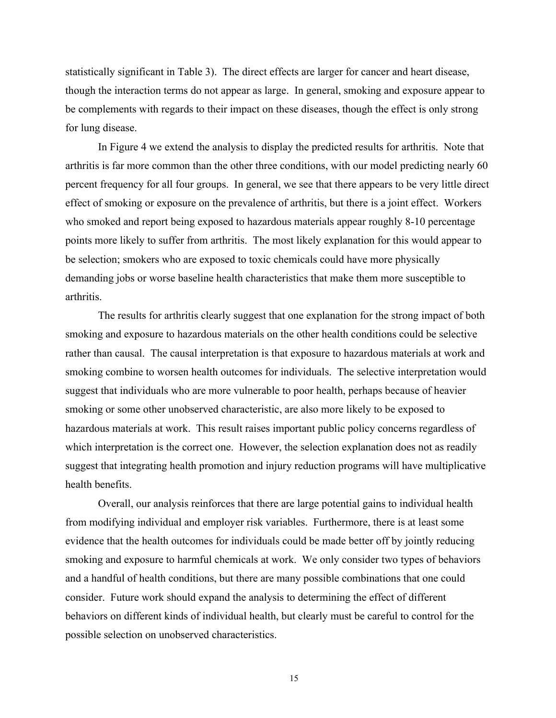statistically significant in Table 3). The direct effects are larger for cancer and heart disease, though the interaction terms do not appear as large. In general, smoking and exposure appear to be complements with regards to their impact on these diseases, though the effect is only strong for lung disease.

In Figure 4 we extend the analysis to display the predicted results for arthritis. Note that arthritis is far more common than the other three conditions, with our model predicting nearly 60 percent frequency for all four groups. In general, we see that there appears to be very little direct effect of smoking or exposure on the prevalence of arthritis, but there is a joint effect. Workers who smoked and report being exposed to hazardous materials appear roughly 8-10 percentage points more likely to suffer from arthritis. The most likely explanation for this would appear to be selection; smokers who are exposed to toxic chemicals could have more physically demanding jobs or worse baseline health characteristics that make them more susceptible to arthritis.

The results for arthritis clearly suggest that one explanation for the strong impact of both smoking and exposure to hazardous materials on the other health conditions could be selective rather than causal. The causal interpretation is that exposure to hazardous materials at work and smoking combine to worsen health outcomes for individuals. The selective interpretation would suggest that individuals who are more vulnerable to poor health, perhaps because of heavier smoking or some other unobserved characteristic, are also more likely to be exposed to hazardous materials at work. This result raises important public policy concerns regardless of which interpretation is the correct one. However, the selection explanation does not as readily suggest that integrating health promotion and injury reduction programs will have multiplicative health benefits.

Overall, our analysis reinforces that there are large potential gains to individual health from modifying individual and employer risk variables. Furthermore, there is at least some evidence that the health outcomes for individuals could be made better off by jointly reducing smoking and exposure to harmful chemicals at work. We only consider two types of behaviors and a handful of health conditions, but there are many possible combinations that one could consider. Future work should expand the analysis to determining the effect of different behaviors on different kinds of individual health, but clearly must be careful to control for the possible selection on unobserved characteristics.

15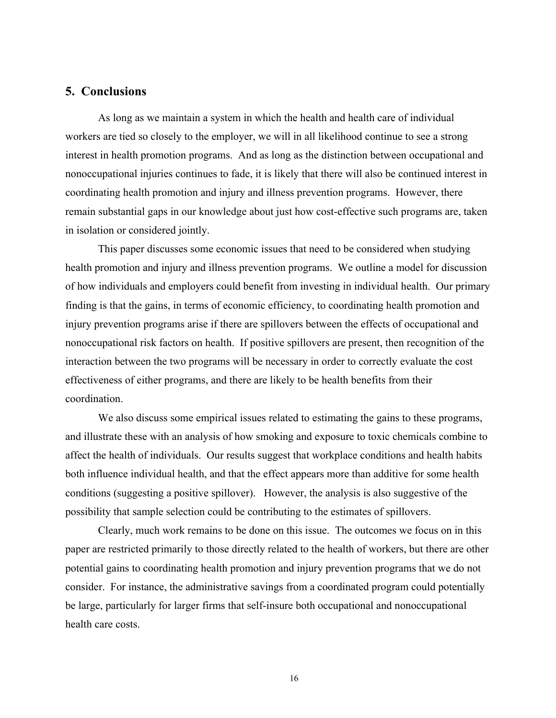## **5. Conclusions**

As long as we maintain a system in which the health and health care of individual workers are tied so closely to the employer, we will in all likelihood continue to see a strong interest in health promotion programs. And as long as the distinction between occupational and nonoccupational injuries continues to fade, it is likely that there will also be continued interest in coordinating health promotion and injury and illness prevention programs. However, there remain substantial gaps in our knowledge about just how cost-effective such programs are, taken in isolation or considered jointly.

This paper discusses some economic issues that need to be considered when studying health promotion and injury and illness prevention programs. We outline a model for discussion of how individuals and employers could benefit from investing in individual health. Our primary finding is that the gains, in terms of economic efficiency, to coordinating health promotion and injury prevention programs arise if there are spillovers between the effects of occupational and nonoccupational risk factors on health. If positive spillovers are present, then recognition of the interaction between the two programs will be necessary in order to correctly evaluate the cost effectiveness of either programs, and there are likely to be health benefits from their coordination.

We also discuss some empirical issues related to estimating the gains to these programs, and illustrate these with an analysis of how smoking and exposure to toxic chemicals combine to affect the health of individuals. Our results suggest that workplace conditions and health habits both influence individual health, and that the effect appears more than additive for some health conditions (suggesting a positive spillover). However, the analysis is also suggestive of the possibility that sample selection could be contributing to the estimates of spillovers.

Clearly, much work remains to be done on this issue. The outcomes we focus on in this paper are restricted primarily to those directly related to the health of workers, but there are other potential gains to coordinating health promotion and injury prevention programs that we do not consider. For instance, the administrative savings from a coordinated program could potentially be large, particularly for larger firms that self-insure both occupational and nonoccupational health care costs.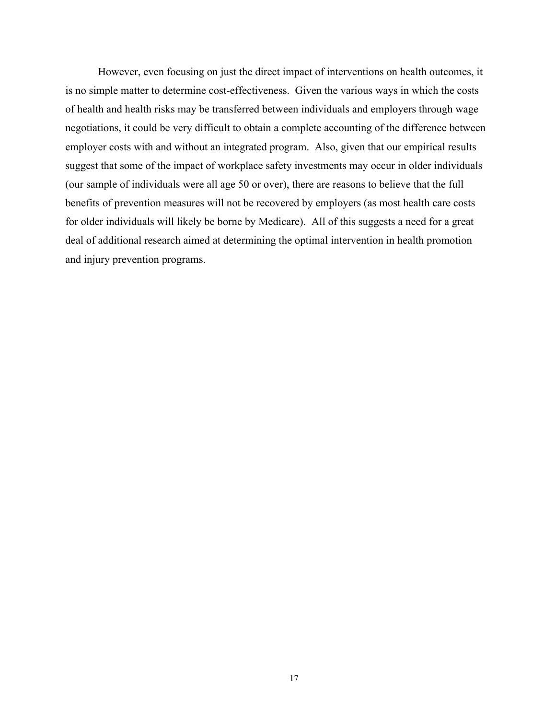However, even focusing on just the direct impact of interventions on health outcomes, it is no simple matter to determine cost-effectiveness. Given the various ways in which the costs of health and health risks may be transferred between individuals and employers through wage negotiations, it could be very difficult to obtain a complete accounting of the difference between employer costs with and without an integrated program. Also, given that our empirical results suggest that some of the impact of workplace safety investments may occur in older individuals (our sample of individuals were all age 50 or over), there are reasons to believe that the full benefits of prevention measures will not be recovered by employers (as most health care costs for older individuals will likely be borne by Medicare). All of this suggests a need for a great deal of additional research aimed at determining the optimal intervention in health promotion and injury prevention programs.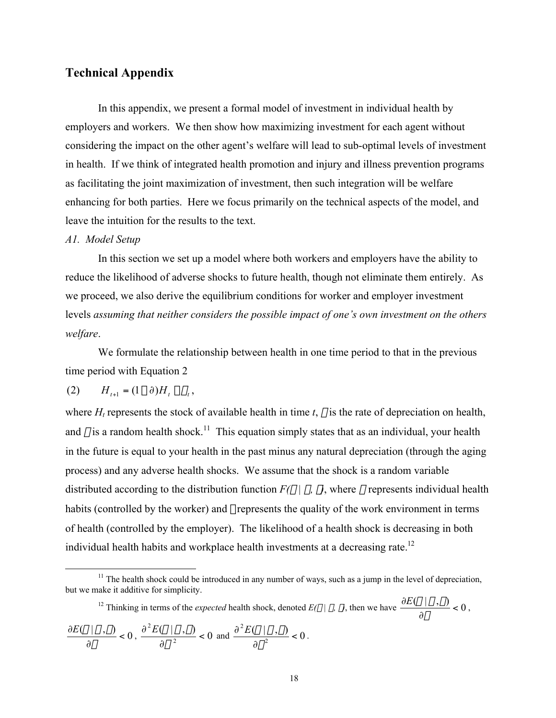## **Technical Appendix**

In this appendix, we present a formal model of investment in individual health by employers and workers. We then show how maximizing investment for each agent without considering the impact on the other agent's welfare will lead to sub-optimal levels of investment in health. If we think of integrated health promotion and injury and illness prevention programs as facilitating the joint maximization of investment, then such integration will be welfare enhancing for both parties. Here we focus primarily on the technical aspects of the model, and leave the intuition for the results to the text.

#### *A1. Model Setup*

In this section we set up a model where both workers and employers have the ability to reduce the likelihood of adverse shocks to future health, though not eliminate them entirely. As we proceed, we also derive the equilibrium conditions for worker and employer investment levels *assuming that neither considers the possible impact of one's own investment on the others welfare*.

We formulate the relationship between health in one time period to that in the previous time period with Equation 2

$$
(2) \tH_{t+1} = (1-\partial)H_t - \theta_t,
$$

where  $H_t$  represents the stock of available health in time  $t$ ,  $\delta$  is the rate of depreciation on health, and  $\theta$  is a random health shock.<sup>11</sup> This equation simply states that as an individual, your health in the future is equal to your health in the past minus any natural depreciation (through the aging process) and any adverse health shocks. We assume that the shock is a random variable distributed according to the distribution function  $F(\theta | \sigma, \gamma)$ , where  $\sigma$  represents individual health habits (controlled by the worker) and  $\gamma$  represents the quality of the work environment in terms of health (controlled by the employer). The likelihood of a health shock is decreasing in both individual health habits and workplace health investments at a decreasing rate.<sup>12</sup>

<sup>12</sup> Thinking in terms of the *expected* health shock, denoted  $E(\theta | \sigma, \gamma)$ , then we have  $\frac{\partial E(\theta | \sigma, \gamma)}{\partial}$  < 0 ∂ ∂  $\frac{E(\theta | \sigma, \gamma)}{\partial \sigma} < 0$ ,

$$
\frac{\partial E(\theta \mid \sigma, \gamma)}{\partial \gamma} < 0, \, \frac{\partial^2 E(\theta \mid \sigma, \gamma)}{\partial \sigma^2} < 0 \, \text{ and } \frac{\partial^2 E(\theta \mid \sigma, \gamma)}{\partial \gamma^2} < 0.
$$

<sup>&</sup>lt;u>11</u>  $11$ . The health shock could be introduced in any number of ways, such as a jump in the level of depreciation, but we make it additive for simplicity.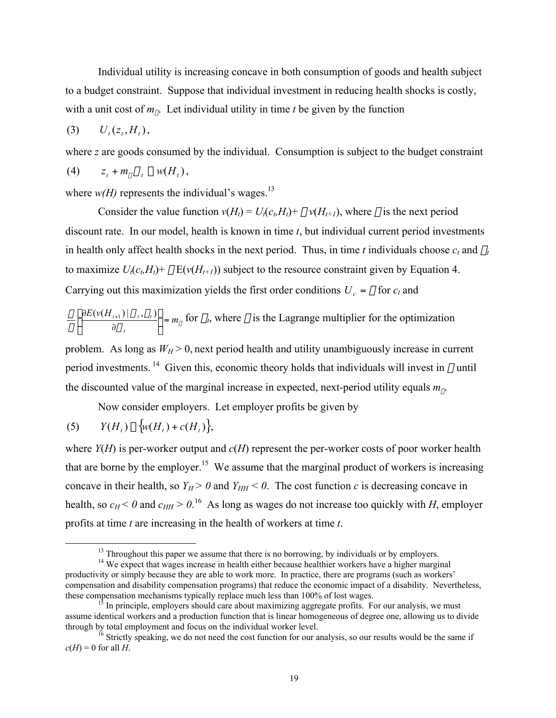Individual utility is increasing concave in both consumption of goods and health subject to a budget constraint. Suppose that individual investment in reducing health shocks is costly, with a unit cost of  $m_{\sigma}$ . Let individual utility in time *t* be given by the function

$$
(3) \qquad U_t(z_t, H_t),
$$

where *z* are goods consumed by the individual. Consumption is subject to the budget constraint

$$
(4) \t z_t + m_\sigma \sigma_t \leq w(H_t),
$$

where  $w(H)$  represents the individual's wages.<sup>13</sup>

Consider the value function  $v(H_t) = U_t(c_b H_t) + \beta v(H_{t+1})$ , where  $\beta$  is the next period discount rate. In our model, health is known in time *t*, but individual current period investments in health only affect health shocks in the next period. Thus, in time *t* individuals choose  $c_t$  and  $\sigma_t$ to maximize  $U_i(c_i, H_i)$ +  $\beta$  E( $v(H_{i+1})$ ) subject to the resource constraint given by Equation 4. Carrying out this maximization yields the first order conditions  $U_c = \lambda$  for  $c_t$  and

$$
\frac{\beta}{\lambda} \left[ \frac{\partial E(v(H_{i+1}) | \sigma_i, \gamma_i)}{\partial \sigma_i} \right] = m_\sigma \text{ for } \sigma_i \text{, where } \lambda \text{ is the Lagrange multiplier for the optimization}
$$

problem. As long as  $W_H > 0$ , next period health and utility unambiguously increase in current period investments.<sup>14</sup> Given this, economic theory holds that individuals will invest in  $\sigma$  until the discounted value of the marginal increase in expected, next-period utility equals  $m_{\sigma}$ .

Now consider employers. Let employer profits be given by

(5) 
$$
Y(H_t) - \{w(H_t) + c(H_t)\},
$$

where *Y*(*H*) is per-worker output and *c*(*H*) represent the per-worker costs of poor worker health that are borne by the employer.<sup>15</sup> We assume that the marginal product of workers is increasing concave in their health, so  $Y_H > 0$  and  $Y_{HH} < 0$ . The cost function *c* is decreasing concave in health, so  $c_H < 0$  and  $c_{HH} > 0$ .<sup>16</sup> As long as wages do not increase too quickly with *H*, employer profits at time *t* are increasing in the health of workers at time *t*.

 <sup>13</sup>  $<sup>13</sup>$  Throughout this paper we assume that there is no borrowing, by individuals or by employers.</sup>

<sup>&</sup>lt;sup>14</sup> We expect that wages increase in health either because healthier workers have a higher marginal productivity or simply because they are able to work more. In practice, there are programs (such as workers' compensation and disability compensation programs) that reduce the economic impact of a disability. Nevertheless, these compensation mechanisms typically replace much less than 100% of lost wages.

 $15$  In principle, employers should care about maximizing aggregate profits. For our analysis, we must assume identical workers and a production function that is linear homogeneous of degree one, allowing us to divide through by total employment and focus on the individual worker level.<br><sup>16</sup> Strictly speaking, we do not need the cost function for our analysis, so our results would be the same if

 $c(H) = 0$  for all *H*.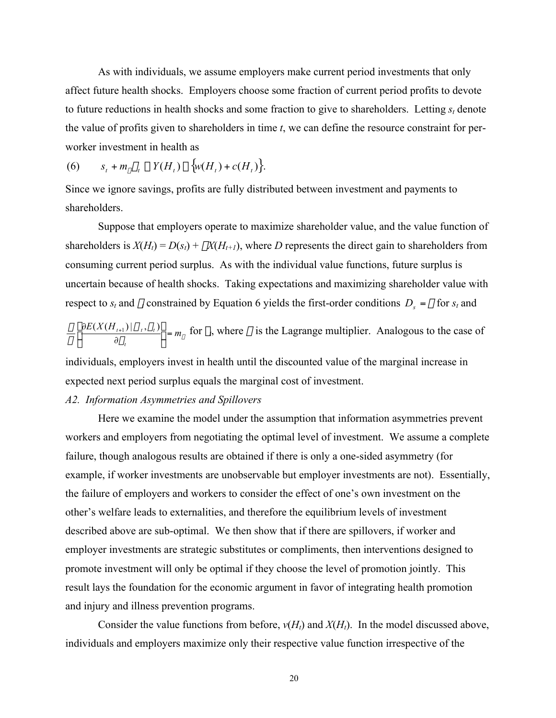As with individuals, we assume employers make current period investments that only affect future health shocks. Employers choose some fraction of current period profits to devote to future reductions in health shocks and some fraction to give to shareholders. Letting  $s_t$  denote the value of profits given to shareholders in time *t*, we can define the resource constraint for perworker investment in health as

$$
(6) \qquad s_t + m_\gamma \gamma_t \le Y(H_t) - \big\{ w(H_t) + c(H_t) \big\}.
$$

Since we ignore savings, profits are fully distributed between investment and payments to shareholders.

Suppose that employers operate to maximize shareholder value, and the value function of shareholders is  $X(H_t) = D(s_t) + \beta X(H_{t+1})$ , where *D* represents the direct gain to shareholders from consuming current period surplus. As with the individual value functions, future surplus is uncertain because of health shocks. Taking expectations and maximizing shareholder value with respect to  $s_t$  and  $\gamma_t$  constrained by Equation 6 yields the first-order conditions  $D_s = \eta$  for  $s_t$  and

 $\gamma_{t}$   $\gamma_{t}$  $\sigma$  ,  $\gamma$  $\eta$  $\frac{\beta}{\beta} \left[ \frac{\partial E(X(H_{t+1}) | \sigma_t, \gamma_t)}{\delta} \right] = m$ *t*  $\frac{t+1/|\mathbf{U}_t, \mathbf{Y}_t|}{\partial \mathbf{v}}$ ˚  $\left[\frac{\partial E(X(H_{t+1}) | \sigma_t, \gamma_t)}{\partial y}\right]$ Î È ∂  $\left.\frac{\partial E(X(H_{t+1})|\sigma_t,\gamma_t)}{\partial \sigma_t} \right]_{=m_{\gamma}}$  for  $\gamma_t$ , where  $\eta$  is the Lagrange multiplier. Analogous to the case of

individuals, employers invest in health until the discounted value of the marginal increase in expected next period surplus equals the marginal cost of investment.

#### *A2. Information Asymmetries and Spillovers*

Here we examine the model under the assumption that information asymmetries prevent workers and employers from negotiating the optimal level of investment. We assume a complete failure, though analogous results are obtained if there is only a one-sided asymmetry (for example, if worker investments are unobservable but employer investments are not). Essentially, the failure of employers and workers to consider the effect of one's own investment on the other's welfare leads to externalities, and therefore the equilibrium levels of investment described above are sub-optimal. We then show that if there are spillovers, if worker and employer investments are strategic substitutes or compliments, then interventions designed to promote investment will only be optimal if they choose the level of promotion jointly. This result lays the foundation for the economic argument in favor of integrating health promotion and injury and illness prevention programs.

Consider the value functions from before,  $v(H_t)$  and  $X(H_t)$ . In the model discussed above, individuals and employers maximize only their respective value function irrespective of the

20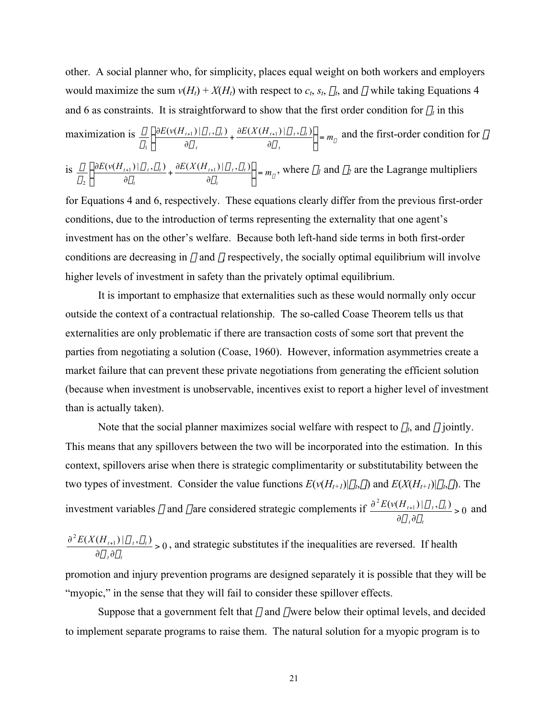other. A social planner who, for simplicity, places equal weight on both workers and employers would maximize the sum  $v(H_t) + X(H_t)$  with respect to  $c_t$ ,  $s_t$ ,  $\sigma_t$ , and  $\gamma_t$  while taking Equations 4 and 6 as constraints. It is straightforward to show that the first order condition for  $\sigma_t$  in this

maximization is 
$$
\frac{\beta}{\delta_1} \left\{ \frac{\partial E(v(H_{t+1}) | \sigma_t, \gamma_t)}{\partial \sigma_t} + \frac{\partial E(X(H_{t+1}) | \sigma_t, \gamma_t)}{\partial \sigma_t} \right\} = m_\sigma
$$
 and the first-order condition for  $\gamma_t$ 

is 
$$
\frac{\beta}{\delta_2} \left\{ \frac{\partial E(v(H_{t+1}) | \sigma_t, \gamma_t)}{\partial \gamma_t} + \frac{\partial E(X(H_{t+1}) | \sigma_t, \gamma_t)}{\partial \gamma_t} \right\} = m_\gamma,
$$
 where  $\delta_l$  and  $\delta_2$  are the Lagrange multipliers

for Equations 4 and 6, respectively. These equations clearly differ from the previous first-order conditions, due to the introduction of terms representing the externality that one agent's investment has on the other's welfare. Because both left-hand side terms in both first-order conditions are decreasing in  $\sigma$  and  $\gamma$ , respectively, the socially optimal equilibrium will involve higher levels of investment in safety than the privately optimal equilibrium.

It is important to emphasize that externalities such as these would normally only occur outside the context of a contractual relationship. The so-called Coase Theorem tells us that externalities are only problematic if there are transaction costs of some sort that prevent the parties from negotiating a solution (Coase, 1960). However, information asymmetries create a market failure that can prevent these private negotiations from generating the efficient solution (because when investment is unobservable, incentives exist to report a higher level of investment than is actually taken).

Note that the social planner maximizes social welfare with respect to  $\sigma_t$ , and  $\gamma_t$  jointly. This means that any spillovers between the two will be incorporated into the estimation. In this context, spillovers arise when there is strategic complimentarity or substitutability between the two types of investment. Consider the value functions  $E(v(H_{t+1})|\sigma_t,\gamma_t)$  and  $E(X(H_{t+1})|\sigma_t,\gamma_t)$ . The investment variables  $\sigma$  and  $\gamma$  are considered strategic complements if  $\frac{\partial^2 E(v(H_{i+1}) | \sigma_i, \gamma_i)}{\partial \sigma_i} > 0$ >  $\partial \sigma_{_{I}}\partial$  $\partial^2 E(v(H_{t+})$ *t t*  $E(\nu(H_{t+1})|\sigma_t, \gamma_t)$  $\sigma$ , dy  $\frac{\sigma_i, \gamma_i}{\sigma_i} > 0$  and

 $\frac{{^{2}E(X(H_{t+1})|\sigma_{t},\gamma_{t})}}{{^{2}E(X(H_{t+1})|\sigma_{t},\gamma_{t})}}>0$ >  $\partial \sigma_{\iota} \partial$  $\partial^2 E(X(H_{t+})$ *t t*  $E(X(H_{t+1}) | \sigma_t, \gamma_t)$  $\sigma$ , dy  $\frac{\sigma_i, \gamma_i}{\sigma_j}$  > 0, and strategic substitutes if the inequalities are reversed. If health

promotion and injury prevention programs are designed separately it is possible that they will be "myopic," in the sense that they will fail to consider these spillover effects.

Suppose that a government felt that  $\sigma$  and  $\gamma$  were below their optimal levels, and decided to implement separate programs to raise them. The natural solution for a myopic program is to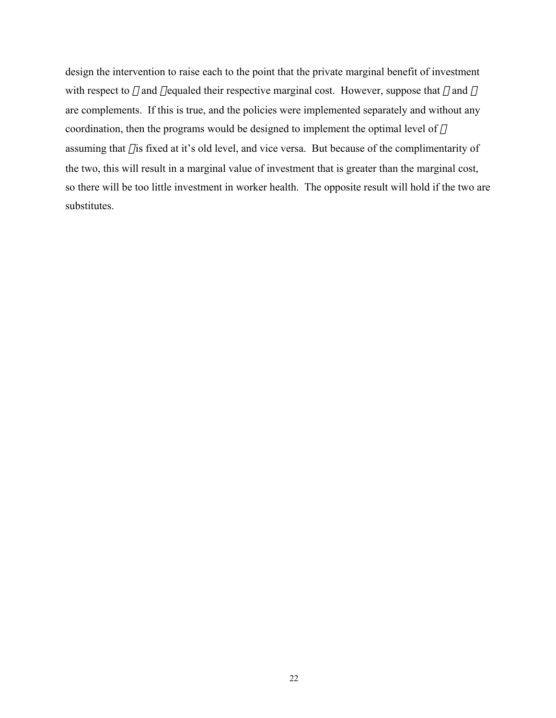design the intervention to raise each to the point that the private marginal benefit of investment with respect to  $\sigma$  and  $\gamma$  equaled their respective marginal cost. However, suppose that  $\sigma$  and  $\gamma$ are complements. If this is true, and the policies were implemented separately and without any coordination, then the programs would be designed to implement the optimal level of  $\sigma$ assuming that  $\gamma$  is fixed at it's old level, and vice versa. But because of the complimentarity of the two, this will result in a marginal value of investment that is greater than the marginal cost, so there will be too little investment in worker health. The opposite result will hold if the two are substitutes.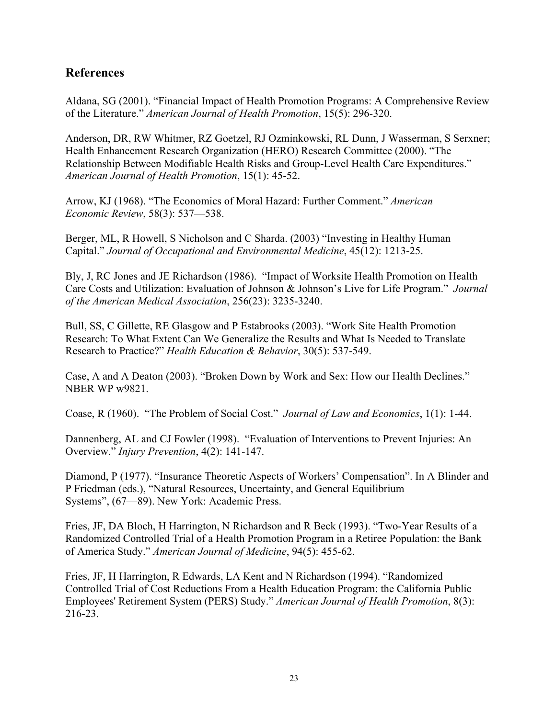## **References**

Aldana, SG (2001). "Financial Impact of Health Promotion Programs: A Comprehensive Review of the Literature." *American Journal of Health Promotion*, 15(5): 296-320.

Anderson, DR, RW Whitmer, RZ Goetzel, RJ Ozminkowski, RL Dunn, J Wasserman, S Serxner; Health Enhancement Research Organization (HERO) Research Committee (2000). "The Relationship Between Modifiable Health Risks and Group-Level Health Care Expenditures." *American Journal of Health Promotion*, 15(1): 45-52.

Arrow, KJ (1968). "The Economics of Moral Hazard: Further Comment." *American Economic Review*, 58(3): 537—538.

Berger, ML, R Howell, S Nicholson and C Sharda. (2003) "Investing in Healthy Human Capital." *Journal of Occupational and Environmental Medicine*, 45(12): 1213-25.

Bly, J, RC Jones and JE Richardson (1986). "Impact of Worksite Health Promotion on Health Care Costs and Utilization: Evaluation of Johnson & Johnson's Live for Life Program." *Journal of the American Medical Association*, 256(23): 3235-3240.

Bull, SS, C Gillette, RE Glasgow and P Estabrooks (2003). "Work Site Health Promotion Research: To What Extent Can We Generalize the Results and What Is Needed to Translate Research to Practice?" *Health Education & Behavior*, 30(5): 537-549.

Case, A and A Deaton (2003). "Broken Down by Work and Sex: How our Health Declines." NBER WP w9821.

Coase, R (1960). "The Problem of Social Cost." *Journal of Law and Economics*, 1(1): 1-44.

Dannenberg, AL and CJ Fowler (1998). "Evaluation of Interventions to Prevent Injuries: An Overview." *Injury Prevention*, 4(2): 141-147.

Diamond, P (1977). "Insurance Theoretic Aspects of Workers' Compensation". In A Blinder and P Friedman (eds.), "Natural Resources, Uncertainty, and General Equilibrium Systems", (67—89). New York: Academic Press.

Fries, JF, DA Bloch, H Harrington, N Richardson and R Beck (1993). "Two-Year Results of a Randomized Controlled Trial of a Health Promotion Program in a Retiree Population: the Bank of America Study." *American Journal of Medicine*, 94(5): 455-62.

Fries, JF, H Harrington, R Edwards, LA Kent and N Richardson (1994). "Randomized Controlled Trial of Cost Reductions From a Health Education Program: the California Public Employees' Retirement System (PERS) Study." *American Journal of Health Promotion*, 8(3): 216-23.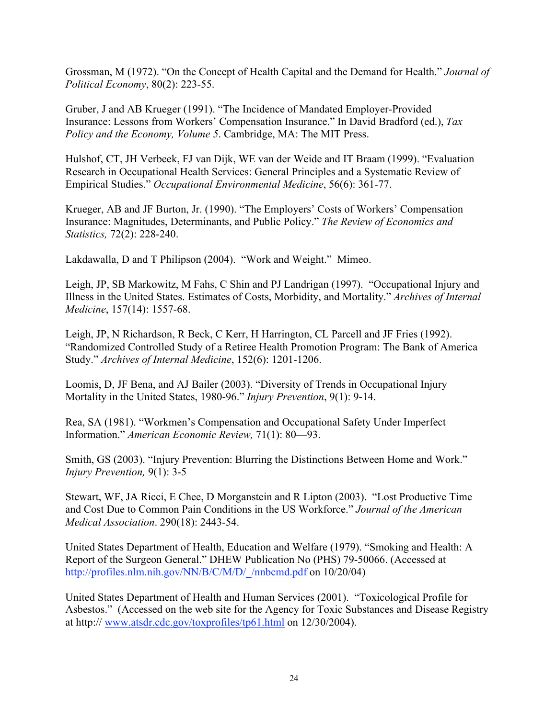Grossman, M (1972). "On the Concept of Health Capital and the Demand for Health." *Journal of Political Economy*, 80(2): 223-55.

Gruber, J and AB Krueger (1991). "The Incidence of Mandated Employer-Provided Insurance: Lessons from Workers' Compensation Insurance." In David Bradford (ed.), *Tax Policy and the Economy, Volume 5*. Cambridge, MA: The MIT Press.

Hulshof, CT, JH Verbeek, FJ van Dijk, WE van der Weide and IT Braam (1999). "Evaluation Research in Occupational Health Services: General Principles and a Systematic Review of Empirical Studies." *Occupational Environmental Medicine*, 56(6): 361-77.

Krueger, AB and JF Burton, Jr. (1990). "The Employers' Costs of Workers' Compensation Insurance: Magnitudes, Determinants, and Public Policy." *The Review of Economics and Statistics,* 72(2): 228-240.

Lakdawalla, D and T Philipson (2004). "Work and Weight." Mimeo.

Leigh, JP, SB Markowitz, M Fahs, C Shin and PJ Landrigan (1997). "Occupational Injury and Illness in the United States. Estimates of Costs, Morbidity, and Mortality." *Archives of Internal Medicine*, 157(14): 1557-68.

Leigh, JP, N Richardson, R Beck, C Kerr, H Harrington, CL Parcell and JF Fries (1992). "Randomized Controlled Study of a Retiree Health Promotion Program: The Bank of America Study." *Archives of Internal Medicine*, 152(6): 1201-1206.

Loomis, D, JF Bena, and AJ Bailer (2003). "Diversity of Trends in Occupational Injury Mortality in the United States, 1980-96." *Injury Prevention*, 9(1): 9-14.

Rea, SA (1981). "Workmen's Compensation and Occupational Safety Under Imperfect Information." *American Economic Review,* 71(1): 80—93.

Smith, GS (2003). "Injury Prevention: Blurring the Distinctions Between Home and Work." *Injury Prevention,* 9(1): 3-5

Stewart, WF, JA Ricci, E Chee, D Morganstein and R Lipton (2003). "Lost Productive Time and Cost Due to Common Pain Conditions in the US Workforce." *Journal of the American Medical Association*. 290(18): 2443-54.

United States Department of Health, Education and Welfare (1979). "Smoking and Health: A Report of the Surgeon General." DHEW Publication No (PHS) 79-50066. (Accessed at http://profiles.nlm.nih.gov/NN/B/C/M/D/\_/nnbcmd.pdf on 10/20/04)

United States Department of Health and Human Services (2001). "Toxicological Profile for Asbestos." (Accessed on the web site for the Agency for Toxic Substances and Disease Registry at http:// www.atsdr.cdc.gov/toxprofiles/tp61.html on 12/30/2004).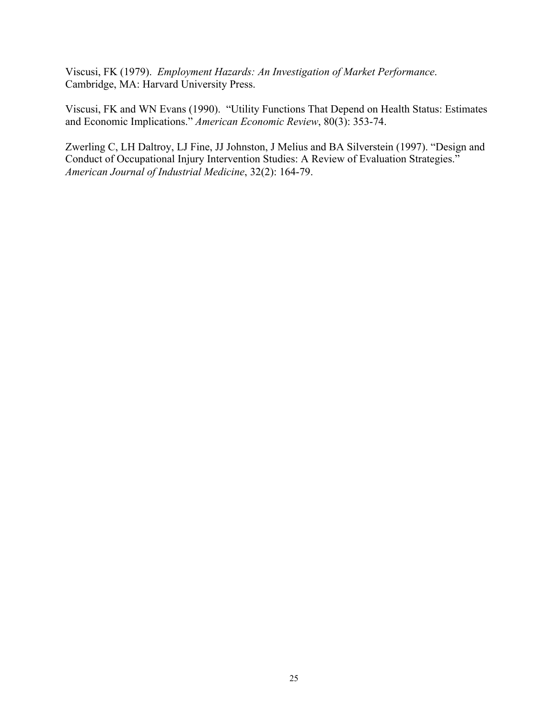Viscusi, FK (1979). *Employment Hazards: An Investigation of Market Performance*. Cambridge, MA: Harvard University Press.

Viscusi, FK and WN Evans (1990). "Utility Functions That Depend on Health Status: Estimates and Economic Implications." *American Economic Review*, 80(3): 353-74.

Zwerling C, LH Daltroy, LJ Fine, JJ Johnston, J Melius and BA Silverstein (1997). "Design and Conduct of Occupational Injury Intervention Studies: A Review of Evaluation Strategies." *American Journal of Industrial Medicine*, 32(2): 164-79.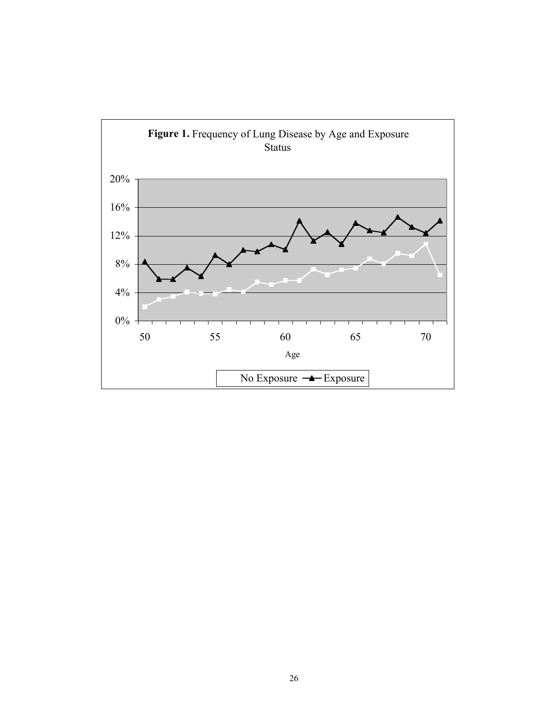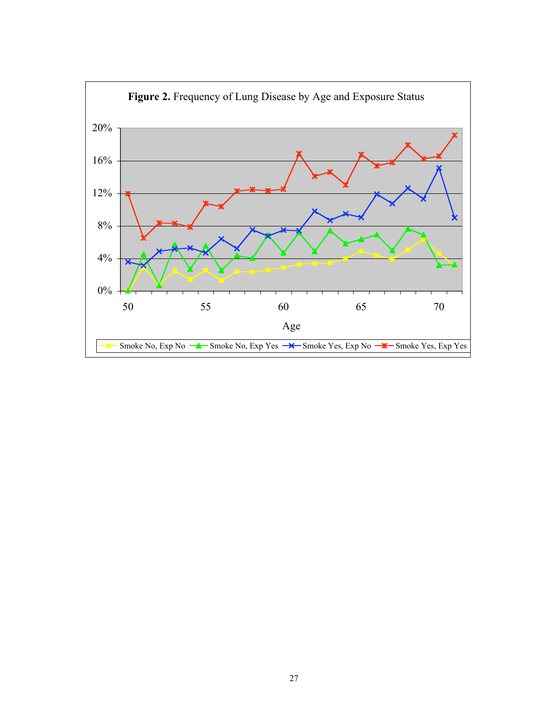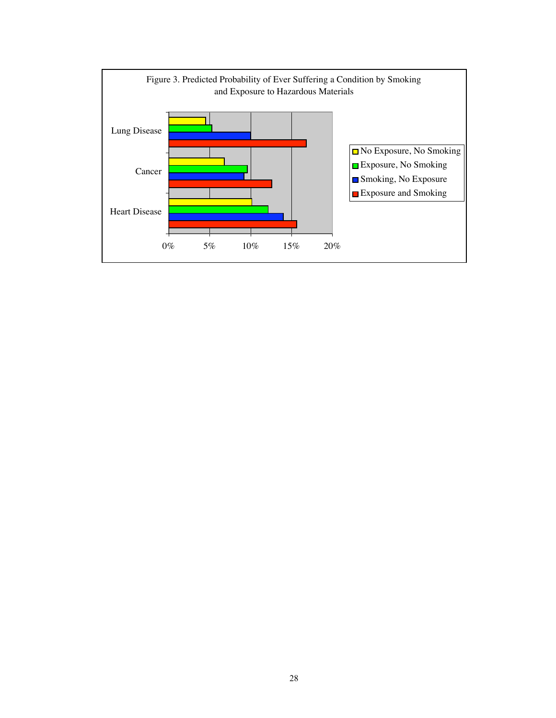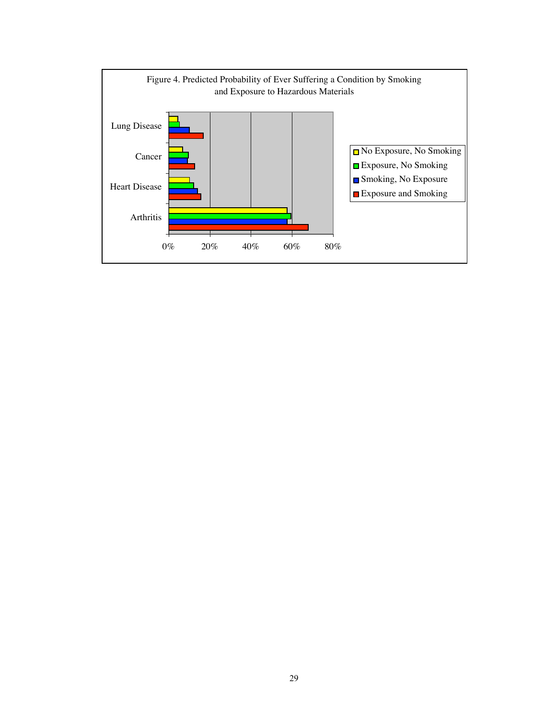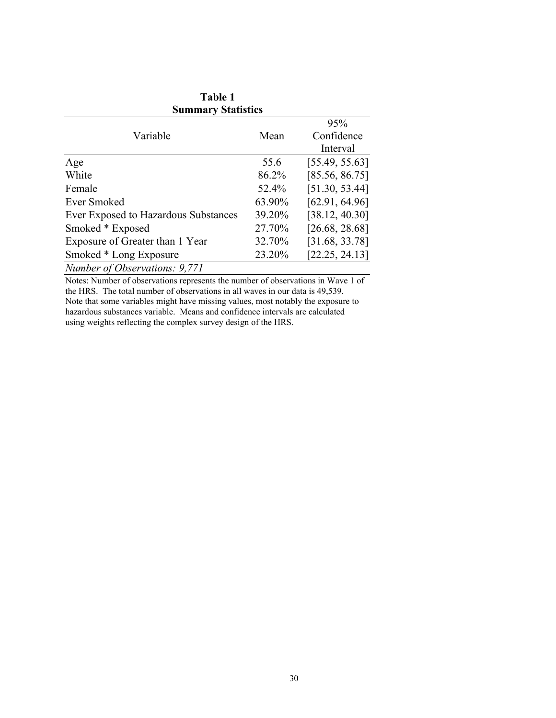| <b>Table 1</b><br><b>Summary Statistics</b> |        |                |  |  |  |  |
|---------------------------------------------|--------|----------------|--|--|--|--|
|                                             |        |                |  |  |  |  |
| Variable                                    | Mean   | Confidence     |  |  |  |  |
|                                             |        | Interval       |  |  |  |  |
| Age                                         | 55.6   | [55.49, 55.63] |  |  |  |  |
| White                                       | 86.2%  | [85.56, 86.75] |  |  |  |  |
| Female                                      | 52.4%  | [51.30, 53.44] |  |  |  |  |
| Ever Smoked                                 | 63.90% | [62.91, 64.96] |  |  |  |  |
| Ever Exposed to Hazardous Substances        | 39.20% | [38.12, 40.30] |  |  |  |  |
| Smoked * Exposed                            | 27.70% | [26.68, 28.68] |  |  |  |  |
| Exposure of Greater than 1 Year             | 32.70% | [31.68, 33.78] |  |  |  |  |
| Smoked * Long Exposure                      | 23.20% | [22.25, 24.13] |  |  |  |  |
| Number of Observations: 9,771               |        |                |  |  |  |  |

Notes: Number of observations represents the number of observations in Wave 1 of the HRS. The total number of observations in all waves in our data is 49,539. Note that some variables might have missing values, most notably the exposure to hazardous substances variable. Means and confidence intervals are calculated using weights reflecting the complex survey design of the HRS.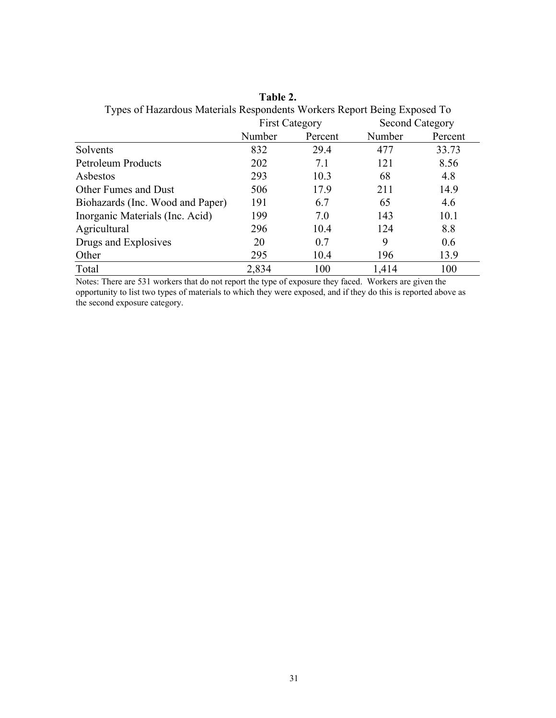| Types of Hazardous Materials Respondents Workers Report Being Exposed To |                       |         |                        |         |  |  |
|--------------------------------------------------------------------------|-----------------------|---------|------------------------|---------|--|--|
|                                                                          | <b>First Category</b> |         | <b>Second Category</b> |         |  |  |
|                                                                          | Number                | Percent | Number                 | Percent |  |  |
| Solvents                                                                 | 832                   | 29.4    | 477                    | 33.73   |  |  |
| Petroleum Products                                                       | 202                   | 7.1     | 121                    | 8.56    |  |  |
| Asbestos                                                                 | 293                   | 10.3    | 68                     | 4.8     |  |  |
| Other Fumes and Dust                                                     | 506                   | 17.9    | 211                    | 14.9    |  |  |
| Biohazards (Inc. Wood and Paper)                                         | 191                   | 6.7     | 65                     | 4.6     |  |  |
| Inorganic Materials (Inc. Acid)                                          | 199                   | 7.0     | 143                    | 10.1    |  |  |
| Agricultural                                                             | 296                   | 10.4    | 124                    | 8.8     |  |  |
| Drugs and Explosives                                                     | 20                    | 0.7     | 9                      | 0.6     |  |  |
| Other                                                                    | 295                   | 10.4    | 196                    | 13.9    |  |  |
| Total                                                                    | 2,834                 | 100     | 1,414                  | 100     |  |  |

**Table 2.** Types of Hazardous Materials Respondents Workers Report Being Exposed To

Notes: There are 531 workers that do not report the type of exposure they faced. Workers are given the opportunity to list two types of materials to which they were exposed, and if they do this is reported above as the second exposure category.